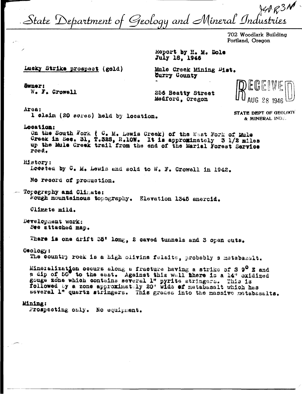State Department of Geology and Mineral Industries

702 Woodlark Building Portland, Oregon

Report by H. M. Dole July 18, 1946

Lucky Strike prospect (gold)

Mule Creek Mining Dist. Curry County

**Swner:** W. F. Crowell

256 Beatty Street Medford. Oregon



STATE DEPT OF GEOLOGY

& MINERAL INDS.

Area:

1 claim (20 acres) held by location.

Location:

On the South Fork ( C. M. Lawis Creek) of the West Fork of Mule<br>Creek in Sec. 31, T.32S, R.10W. It is approximately 3 1/2 miles<br>up the Mule Creek trail from the end of the Marial Forest Service road.

History:

Located by C. M. Lewis and sold to W. F. Crowell in 1942.

No record of production.

Topogrephy and Climate: Rough mountainous topography. Elevation 1345 aneroid.

Climete mild.

Development work: See attached map.

There is one drift 35' long, 2 caved tunnels and 3 open cuts.

Geology:

The country rock is a high olivine felsite, probably a metabasalt.

Mineralization occurs along a fracture having a strike of S 9° E and a dip of 50 to the east. Against this wall there is a 14" oxidized gouge zone which contains several 1" pyrite stringers. This is followed by a zone approximately 20" wide of metabasalt which has several 1" quertz stringers. This grades into the massive motabasalts.

#### Mining:

Prospecting only. No equipment.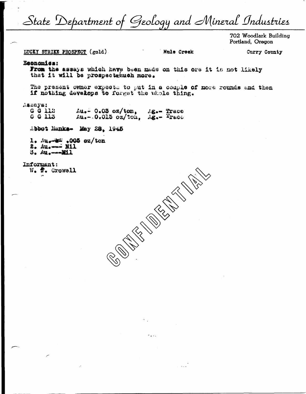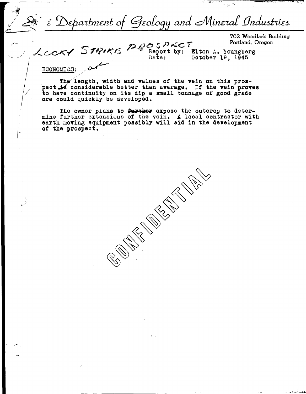Department of Geology and Mineral Industries  $\tilde{\mathcal{E}}$ 

702 Woodlark Building Portland, Oregon

LCCKY STRIKE PROSPECT

Elton A. Youngberg October 19, 1945

ECONOMICS:

The length, width and values of the vein on this prospect is considerable better than average. If the vein proves to have continuity on its dip a small tonnage of good grade ore could quickly be developed.

The owner plans to further expose the outcrop to determine further extensions of the vein. A local contractor with earth moving equipment possibly will aid in the development of the prospect.

**CENTRAL CALLS**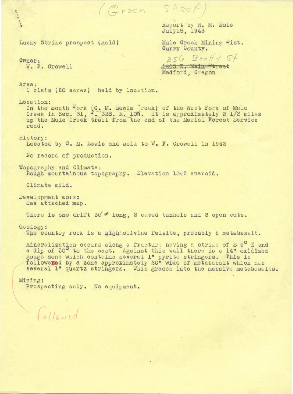Report by H. M. Dole July18, 1946

Lucky strike prospect {gold)·

Owner: w. F. Crowell Mule Creek Mining Dist. Curry County.

256 Beatty 5t. 1205 E. Main Ptreet

Medford, Oregon

Area:

1 claim (20 acres) held by location.

Location:

On the South Fork (C. M. Lewis reek) of the West Fork of Mule Creek in Sec. 31, 1. 32S, R. low. It is approximately 3 1/2 miles up the Mule Creek trail from the end of the Marial Forest Service road.

(Green Sheet)

History:<br>Located by C. M. Lewis and sold to W. F. Crowell in 1942

 $\mathbf{v}$ 

No record of production.

Topography and Climate: Rough mountainous topography. Elevation 1345 aneroid.

Climate mild.

Development work: See attached map.

There is one drift  $35'$  long, 2 caved tunnels and 3 open cuts.

Geology:

The country rock is a high olivine felsite, probably a metabasalt.

Mineralization occurs along a fracture having a strike of S 9<sup>0</sup> E and a dip of 50<sup>°</sup> to the east. Against this wall there is a 14" oxidized gouge zone which contains several 1" pyrite stringers. This is followered by a zone approximately 20" wide of metabasalt which has several 1" quartz stringers. This grades into the massive metabasalts.

# Mining:

Prospecting only. No equipment.

 $followed$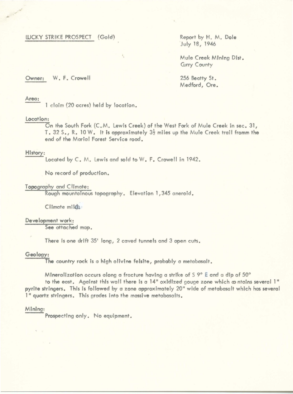# WCKY STRIKE PROSPECT (Gold) Report by H. M. Dole

July 18, 1946

• Mule Creek Mining Dist. **Gurry County** 

Owner: W. F. Crowell 256 Beatty St.

Medford, Ore.

## Area:

.,

1 claim (20 acres) held by location .

## Location:

On the South Fork (C. M. Lewis Creek) of the West Fork of Mule Creek in sec . 31, T. 32 S., R. 10 W. It is approximately 3½ miles up the Mule Creek trail fromm the end of the Marial Forest Service road.

# History:

Located by C. M. lewis and sold to W. F. Crowell in 1942.

No record of production.

# Topography and Climate:

Rough mountainous topography. Elevation 1 , 345 aneroid .

Climate miles:

## **Development work:**

See attached map.

There is one drift 35' long, 2 caved tunnels and 3 open cuts.

# Geology:

The country rock is a high olivine felsite, probably a metabasalt.

# Mtneralization occurs along a fracture having a strike of S 9° **E** and a dip of 50°

to the east. Against this wall there is a 14" oxidized gouge zone which contains several 1" pyrite stringers. This is followed by a zone approximately 20" wide of metabasalt which has several 1" quartz stringers. This grades Into the massive metobasalts.

#### Mining:

Prospecting only. No equipment.